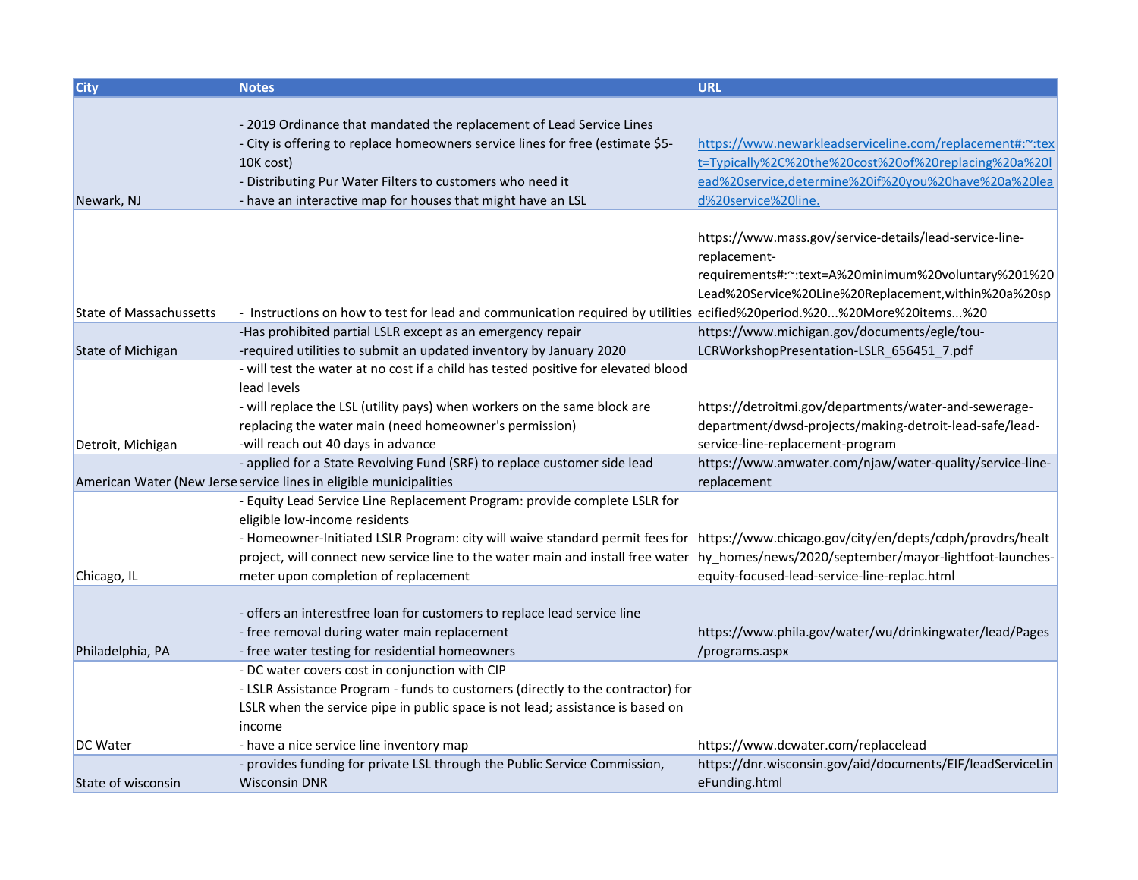| <b>City</b>                    | <b>Notes</b>                                                                                                                           | <b>URL</b>                                                 |
|--------------------------------|----------------------------------------------------------------------------------------------------------------------------------------|------------------------------------------------------------|
|                                |                                                                                                                                        |                                                            |
|                                | - 2019 Ordinance that mandated the replacement of Lead Service Lines                                                                   |                                                            |
|                                | - City is offering to replace homeowners service lines for free (estimate \$5-                                                         | https://www.newarkleadserviceline.com/replacement#:~:tex   |
|                                | 10K cost)                                                                                                                              | t=Typically%2C%20the%20cost%20of%20replacing%20a%20l       |
|                                | - Distributing Pur Water Filters to customers who need it                                                                              | ead%20service,determine%20if%20you%20have%20a%20lea        |
| Newark, NJ                     | - have an interactive map for houses that might have an LSL                                                                            | d%20service%20line.                                        |
|                                |                                                                                                                                        |                                                            |
|                                |                                                                                                                                        | https://www.mass.gov/service-details/lead-service-line-    |
|                                |                                                                                                                                        | replacement-                                               |
|                                |                                                                                                                                        | requirements#:~:text=A%20minimum%20voluntary%201%20        |
|                                |                                                                                                                                        | Lead%20Service%20Line%20Replacement, within%20a%20sp       |
| <b>State of Massachussetts</b> | - Instructions on how to test for lead and communication required by utilities ecified%20period.%20%20More%20items%20                  |                                                            |
|                                | -Has prohibited partial LSLR except as an emergency repair                                                                             | https://www.michigan.gov/documents/egle/tou-               |
| <b>State of Michigan</b>       | -required utilities to submit an updated inventory by January 2020                                                                     | LCRWorkshopPresentation-LSLR_656451_7.pdf                  |
|                                | - will test the water at no cost if a child has tested positive for elevated blood                                                     |                                                            |
|                                | lead levels                                                                                                                            |                                                            |
|                                | - will replace the LSL (utility pays) when workers on the same block are                                                               | https://detroitmi.gov/departments/water-and-sewerage-      |
|                                | replacing the water main (need homeowner's permission)                                                                                 | department/dwsd-projects/making-detroit-lead-safe/lead-    |
| Detroit, Michigan              | -will reach out 40 days in advance                                                                                                     | service-line-replacement-program                           |
|                                | - applied for a State Revolving Fund (SRF) to replace customer side lead                                                               | https://www.amwater.com/njaw/water-quality/service-line-   |
|                                | American Water (New Jerse service lines in eligible municipalities                                                                     | replacement                                                |
|                                | - Equity Lead Service Line Replacement Program: provide complete LSLR for                                                              |                                                            |
|                                | eligible low-income residents                                                                                                          |                                                            |
|                                | - Homeowner-Initiated LSLR Program: city will waive standard permit fees for https://www.chicago.gov/city/en/depts/cdph/provdrs/healt  |                                                            |
|                                | project, will connect new service line to the water main and install free water hy_homes/news/2020/september/mayor-lightfoot-launches- |                                                            |
| Chicago, IL                    | meter upon completion of replacement                                                                                                   | equity-focused-lead-service-line-replac.html               |
|                                |                                                                                                                                        |                                                            |
|                                | - offers an interestfree loan for customers to replace lead service line                                                               |                                                            |
|                                | - free removal during water main replacement                                                                                           | https://www.phila.gov/water/wu/drinkingwater/lead/Pages    |
| Philadelphia, PA               | - free water testing for residential homeowners                                                                                        | /programs.aspx                                             |
|                                | - DC water covers cost in conjunction with CIP                                                                                         |                                                            |
|                                | - LSLR Assistance Program - funds to customers (directly to the contractor) for                                                        |                                                            |
|                                | LSLR when the service pipe in public space is not lead; assistance is based on                                                         |                                                            |
|                                | income                                                                                                                                 |                                                            |
| DC Water                       | - have a nice service line inventory map                                                                                               | https://www.dcwater.com/replacelead                        |
|                                | - provides funding for private LSL through the Public Service Commission,                                                              | https://dnr.wisconsin.gov/aid/documents/EIF/leadServiceLin |
| State of wisconsin             | <b>Wisconsin DNR</b>                                                                                                                   | eFunding.html                                              |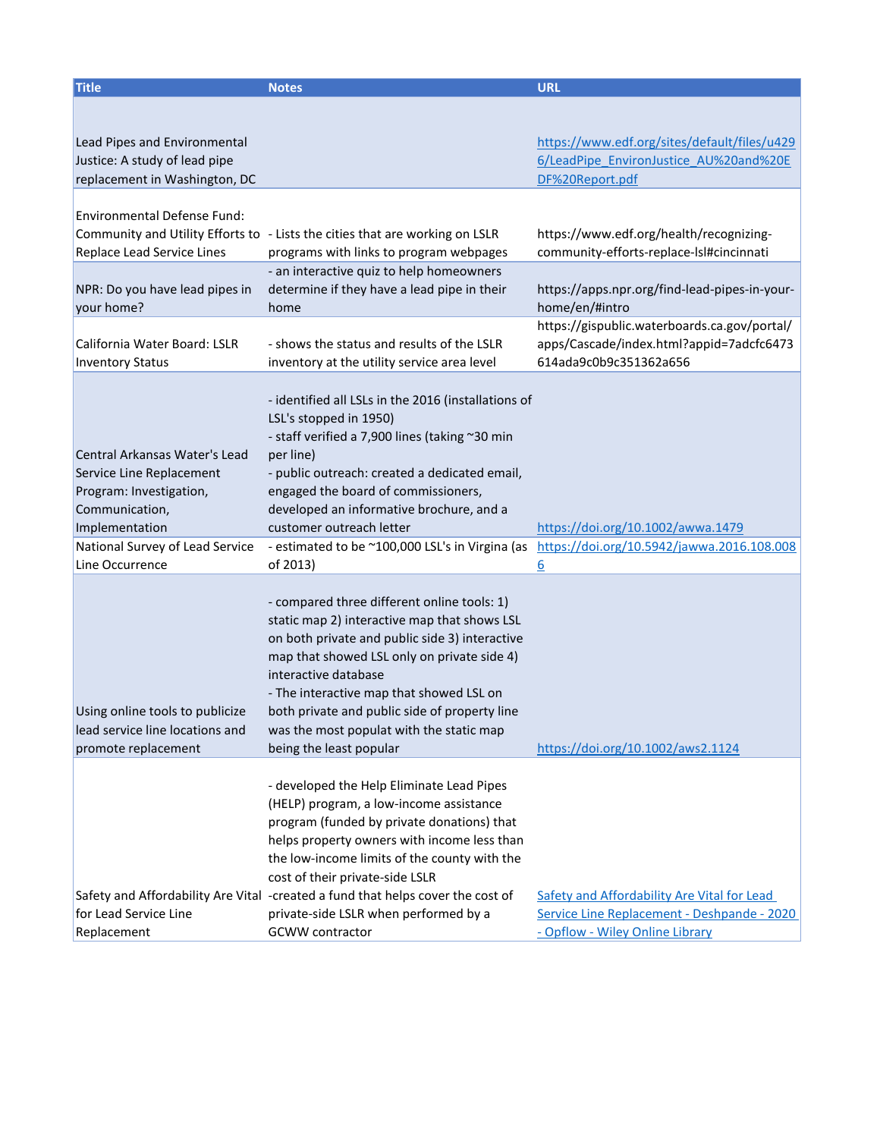| <b>Title</b>                                                                                                             | <b>Notes</b>                                                                                                                                                                                                                                                                                                                                                                                                               | <b>URL</b>                                                                                                                    |
|--------------------------------------------------------------------------------------------------------------------------|----------------------------------------------------------------------------------------------------------------------------------------------------------------------------------------------------------------------------------------------------------------------------------------------------------------------------------------------------------------------------------------------------------------------------|-------------------------------------------------------------------------------------------------------------------------------|
| Lead Pipes and Environmental<br>Justice: A study of lead pipe                                                            |                                                                                                                                                                                                                                                                                                                                                                                                                            | https://www.edf.org/sites/default/files/u429<br>6/LeadPipe EnvironJustice AU%20and%20E                                        |
| replacement in Washington, DC                                                                                            |                                                                                                                                                                                                                                                                                                                                                                                                                            | DF%20Report.pdf                                                                                                               |
| Environmental Defense Fund:<br>Replace Lead Service Lines                                                                | Community and Utility Efforts to - Lists the cities that are working on LSLR<br>programs with links to program webpages                                                                                                                                                                                                                                                                                                    | https://www.edf.org/health/recognizing-<br>community-efforts-replace-Isl#cincinnati                                           |
| NPR: Do you have lead pipes in<br>your home?                                                                             | - an interactive quiz to help homeowners<br>determine if they have a lead pipe in their<br>home                                                                                                                                                                                                                                                                                                                            | https://apps.npr.org/find-lead-pipes-in-your-<br>home/en/#intro                                                               |
| California Water Board: LSLR<br><b>Inventory Status</b>                                                                  | - shows the status and results of the LSLR<br>inventory at the utility service area level                                                                                                                                                                                                                                                                                                                                  | https://gispublic.waterboards.ca.gov/portal/<br>apps/Cascade/index.html?appid=7adcfc6473<br>614ada9c0b9c351362a656            |
| Central Arkansas Water's Lead<br>Service Line Replacement<br>Program: Investigation,<br>Communication,<br>Implementation | - identified all LSLs in the 2016 (installations of<br>LSL's stopped in 1950)<br>- staff verified a 7,900 lines (taking ~30 min<br>per line)<br>- public outreach: created a dedicated email,<br>engaged the board of commissioners,<br>developed an informative brochure, and a<br>customer outreach letter                                                                                                               | https://doi.org/10.1002/awwa.1479                                                                                             |
| National Survey of Lead Service                                                                                          | - estimated to be ~100,000 LSL's in Virgina (as                                                                                                                                                                                                                                                                                                                                                                            | https://doi.org/10.5942/jawwa.2016.108.008                                                                                    |
| Line Occurrence                                                                                                          | of 2013)                                                                                                                                                                                                                                                                                                                                                                                                                   | <u>6</u>                                                                                                                      |
| Using online tools to publicize<br>lead service line locations and<br>promote replacement                                | - compared three different online tools: 1)<br>static map 2) interactive map that shows LSL<br>on both private and public side 3) interactive<br>map that showed LSL only on private side 4)<br>interactive database<br>- The interactive map that showed LSL on<br>both private and public side of property line<br>was the most populat with the static map<br>being the least popular                                   | https://doi.org/10.1002/aws2.1124                                                                                             |
| for Lead Service Line<br>Replacement                                                                                     | - developed the Help Eliminate Lead Pipes<br>(HELP) program, a low-income assistance<br>program (funded by private donations) that<br>helps property owners with income less than<br>the low-income limits of the county with the<br>cost of their private-side LSLR<br>Safety and Affordability Are Vital -created a fund that helps cover the cost of<br>private-side LSLR when performed by a<br><b>GCWW</b> contractor | Safety and Affordability Are Vital for Lead<br>Service Line Replacement - Deshpande - 2020<br>- Opflow - Wiley Online Library |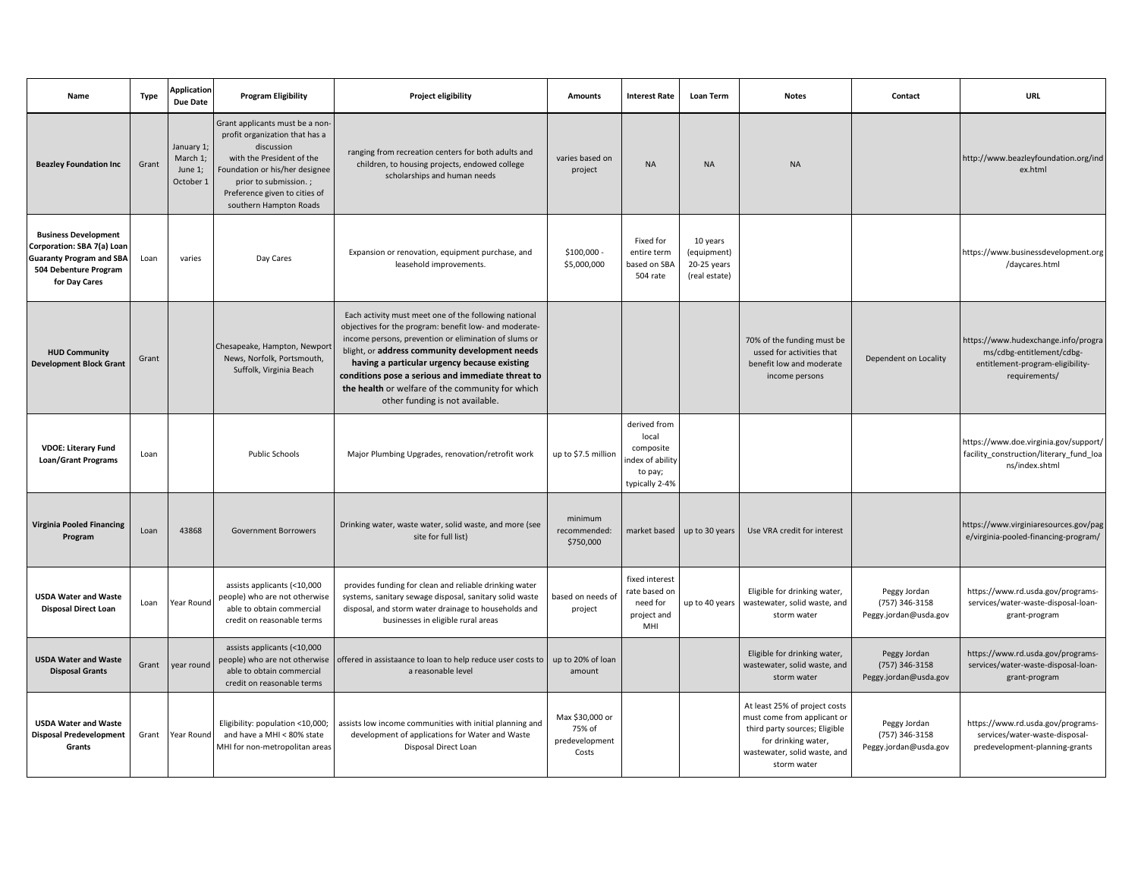| Name                                                                                                                                   | <b>Type</b> | <b>Application</b><br>Due Date                 | <b>Program Eligibility</b>                                                                                                                                                                                                         | Project eligibility                                                                                                                                                                                                                                                                                                                                                                                                    | <b>Amounts</b>                                       | <b>Interest Rate</b>                                                                | Loan Term                                               | <b>Notes</b>                                                                                                                                                        | Contact                                                 | <b>URL</b>                                                                                                            |
|----------------------------------------------------------------------------------------------------------------------------------------|-------------|------------------------------------------------|------------------------------------------------------------------------------------------------------------------------------------------------------------------------------------------------------------------------------------|------------------------------------------------------------------------------------------------------------------------------------------------------------------------------------------------------------------------------------------------------------------------------------------------------------------------------------------------------------------------------------------------------------------------|------------------------------------------------------|-------------------------------------------------------------------------------------|---------------------------------------------------------|---------------------------------------------------------------------------------------------------------------------------------------------------------------------|---------------------------------------------------------|-----------------------------------------------------------------------------------------------------------------------|
| <b>Beazley Foundation Inc</b>                                                                                                          | Grant       | January 1;<br>March 1;<br>June 1;<br>October 1 | Grant applicants must be a non-<br>profit organization that has a<br>discussion<br>with the President of the<br>Foundation or his/her designee<br>prior to submission.;<br>Preference given to cities of<br>southern Hampton Roads | ranging from recreation centers for both adults and<br>children, to housing projects, endowed college<br>scholarships and human needs                                                                                                                                                                                                                                                                                  | varies based on<br>project                           | $\sf NA$                                                                            | <b>NA</b>                                               | <b>NA</b>                                                                                                                                                           |                                                         | http://www.beazleyfoundation.org/ind<br>ex.html                                                                       |
| <b>Business Development</b><br>Corporation: SBA 7(a) Loan<br><b>Guaranty Program and SBA</b><br>504 Debenture Program<br>for Day Cares | Loan        | varies                                         | Day Cares                                                                                                                                                                                                                          | Expansion or renovation, equipment purchase, and<br>leasehold improvements.                                                                                                                                                                                                                                                                                                                                            | $$100,000 -$<br>\$5,000,000                          | Fixed for<br>entire term<br>based on SBA<br>504 rate                                | 10 years<br>(equipment)<br>20-25 years<br>(real estate) |                                                                                                                                                                     |                                                         | https://www.businessdevelopment.org<br>/daycares.html                                                                 |
| <b>HUD Community</b><br><b>Development Block Grant</b>                                                                                 | Grant       |                                                | Chesapeake, Hampton, Newport<br>News, Norfolk, Portsmouth,<br>Suffolk, Virginia Beach                                                                                                                                              | Each activity must meet one of the following national<br>objectives for the program: benefit low- and moderate-<br>income persons, prevention or elimination of slums or<br>blight, or address community development needs<br>having a particular urgency because existing<br>conditions pose a serious and immediate threat to<br>the health or welfare of the community for which<br>other funding is not available. |                                                      |                                                                                     |                                                         | 70% of the funding must be<br>ussed for activities that<br>benefit low and moderate<br>income persons                                                               | Dependent on Locality                                   | https://www.hudexchange.info/progra<br>ms/cdbg-entitlement/cdbg-<br>entitlement-program-eligibility-<br>requirements/ |
| <b>VDOE: Literary Fund</b><br><b>Loan/Grant Programs</b>                                                                               | Loan        |                                                | <b>Public Schools</b>                                                                                                                                                                                                              | Major Plumbing Upgrades, renovation/retrofit work                                                                                                                                                                                                                                                                                                                                                                      | up to \$7.5 million                                  | derived from<br>local<br>composite<br>index of ability<br>to pay;<br>typically 2-4% |                                                         |                                                                                                                                                                     |                                                         | https://www.doe.virginia.gov/support/<br>facility_construction/literary_fund_loa<br>ns/index.shtml                    |
| <b>Virginia Pooled Financing</b><br>Program                                                                                            | Loan        | 43868                                          | <b>Government Borrowers</b>                                                                                                                                                                                                        | Drinking water, waste water, solid waste, and more (see<br>site for full list)                                                                                                                                                                                                                                                                                                                                         | minimum<br>recommended:<br>\$750,000                 | market based                                                                        | up to 30 years                                          | Use VRA credit for interest                                                                                                                                         |                                                         | https://www.virginiaresources.gov/pag<br>e/virginia-pooled-financing-program/                                         |
| <b>USDA Water and Waste</b><br><b>Disposal Direct Loan</b>                                                                             | Loan        | Year Round                                     | assists applicants (<10,000<br>people) who are not otherwise<br>able to obtain commercial<br>credit on reasonable terms                                                                                                            | provides funding for clean and reliable drinking water<br>systems, sanitary sewage disposal, sanitary solid waste<br>disposal, and storm water drainage to households and<br>businesses in eligible rural areas                                                                                                                                                                                                        | based on needs of<br>project                         | fixed interest<br>rate based on<br>need for<br>project and<br>MHI                   | up to 40 years                                          | Eligible for drinking water,<br>wastewater, solid waste, and<br>storm water                                                                                         | Peggy Jordan<br>(757) 346-3158<br>Peggy.jordan@usda.gov | https://www.rd.usda.gov/programs-<br>services/water-waste-disposal-loan-<br>grant-program                             |
| <b>USDA Water and Waste</b><br><b>Disposal Grants</b>                                                                                  | Grant       | year round                                     | assists applicants (<10,000<br>people) who are not otherwise<br>able to obtain commercial<br>credit on reasonable terms                                                                                                            | offered in assistaance to loan to help reduce user costs to<br>a reasonable level                                                                                                                                                                                                                                                                                                                                      | up to 20% of loan<br>amount                          |                                                                                     |                                                         | Eligible for drinking water,<br>wastewater, solid waste, and<br>storm water                                                                                         | Peggy Jordan<br>(757) 346-3158<br>Peggy.jordan@usda.gov | https://www.rd.usda.gov/programs-<br>services/water-waste-disposal-loan-<br>grant-program                             |
| <b>USDA Water and Waste</b><br><b>Disposal Predevelopment</b><br>Grants                                                                | Grant       | Year Round                                     | Eligibility: population <10,000;<br>and have a MHI < 80% state<br>MHI for non-metropolitan areas                                                                                                                                   | assists low income communities with initial planning and<br>development of applications for Water and Waste<br>Disposal Direct Loan                                                                                                                                                                                                                                                                                    | Max \$30,000 or<br>75% of<br>predevelopment<br>Costs |                                                                                     |                                                         | At least 25% of project costs<br>must come from applicant or<br>third party sources; Eligible<br>for drinking water,<br>wastewater, solid waste, and<br>storm water | Peggy Jordan<br>(757) 346-3158<br>Peggy.jordan@usda.gov | https://www.rd.usda.gov/programs-<br>services/water-waste-disposal-<br>predevelopment-planning-grants                 |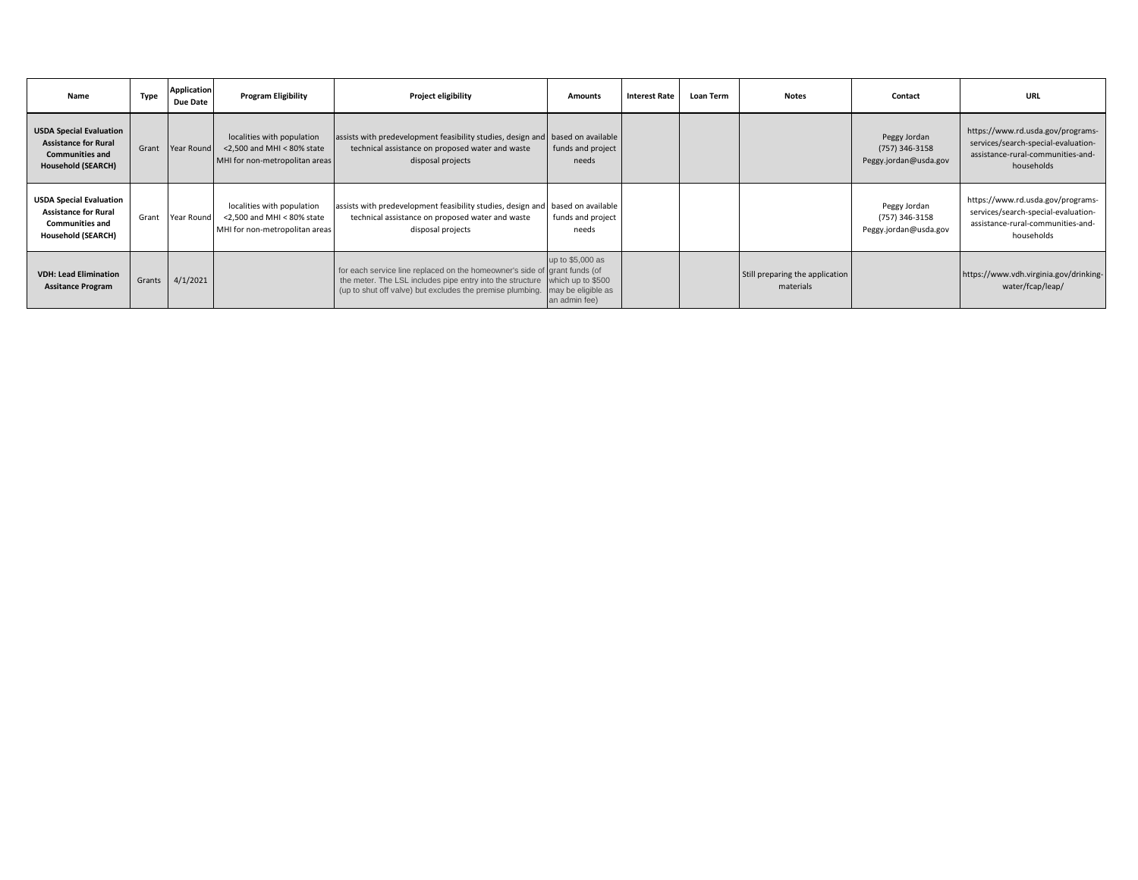| Name                                                                                                                 | <b>Type</b> | <b>Application</b><br>Due Date | <b>Program Eligibility</b>                                                                      | Project eligibility                                                                                                                                                                                                                      | <b>Amounts</b>                    | <b>Interest Rate</b> | <b>Loan Term</b> | <b>Notes</b>                                 | Contact                                                 | URL                                                                                                                         |
|----------------------------------------------------------------------------------------------------------------------|-------------|--------------------------------|-------------------------------------------------------------------------------------------------|------------------------------------------------------------------------------------------------------------------------------------------------------------------------------------------------------------------------------------------|-----------------------------------|----------------------|------------------|----------------------------------------------|---------------------------------------------------------|-----------------------------------------------------------------------------------------------------------------------------|
| <b>USDA Special Evaluation</b><br><b>Assistance for Rural</b><br><b>Communities and</b><br><b>Household (SEARCH)</b> | Grant       | Year Round                     | localities with population<br>$<$ 2.500 and MHI $<$ 80% state<br>MHI for non-metropolitan areas | assists with predevelopment feasibility studies, design and based on available<br>technical assistance on proposed water and waste<br>disposal projects                                                                                  | funds and project<br>needs        |                      |                  |                                              | Peggy Jordan<br>(757) 346-3158<br>Peggy.jordan@usda.gov | https://www.rd.usda.gov/programs-<br>services/search-special-evaluation-<br>assistance-rural-communities-and-<br>households |
| <b>USDA Special Evaluation</b><br><b>Assistance for Rural</b><br><b>Communities and</b><br>Household (SEARCH)        | Grant       | Year Round                     | localities with population<br><2,500 and MHI < 80% state<br>MHI for non-metropolitan areas      | assists with predevelopment feasibility studies, design and based on available<br>technical assistance on proposed water and waste<br>disposal projects                                                                                  | funds and project<br>needs        |                      |                  |                                              | Peggy Jordan<br>(757) 346-3158<br>Peggy.jordan@usda.gov | https://www.rd.usda.gov/programs-<br>services/search-special-evaluation-<br>assistance-rural-communities-and-<br>households |
| <b>VDH: Lead Elimination</b><br><b>Assitance Program</b>                                                             |             | Grants 4/1/2021                |                                                                                                 | for each service line replaced on the homeowner's side of grant funds (of<br>the meter. The LSL includes pipe entry into the structure which up to \$500<br>(up to shut off valve) but excludes the premise plumbing. may be eligible as | up to \$5,000 as<br>an admin fee) |                      |                  | Still preparing the application<br>materials |                                                         | https://www.vdh.virginia.gov/drinking-<br>water/fcap/leap/                                                                  |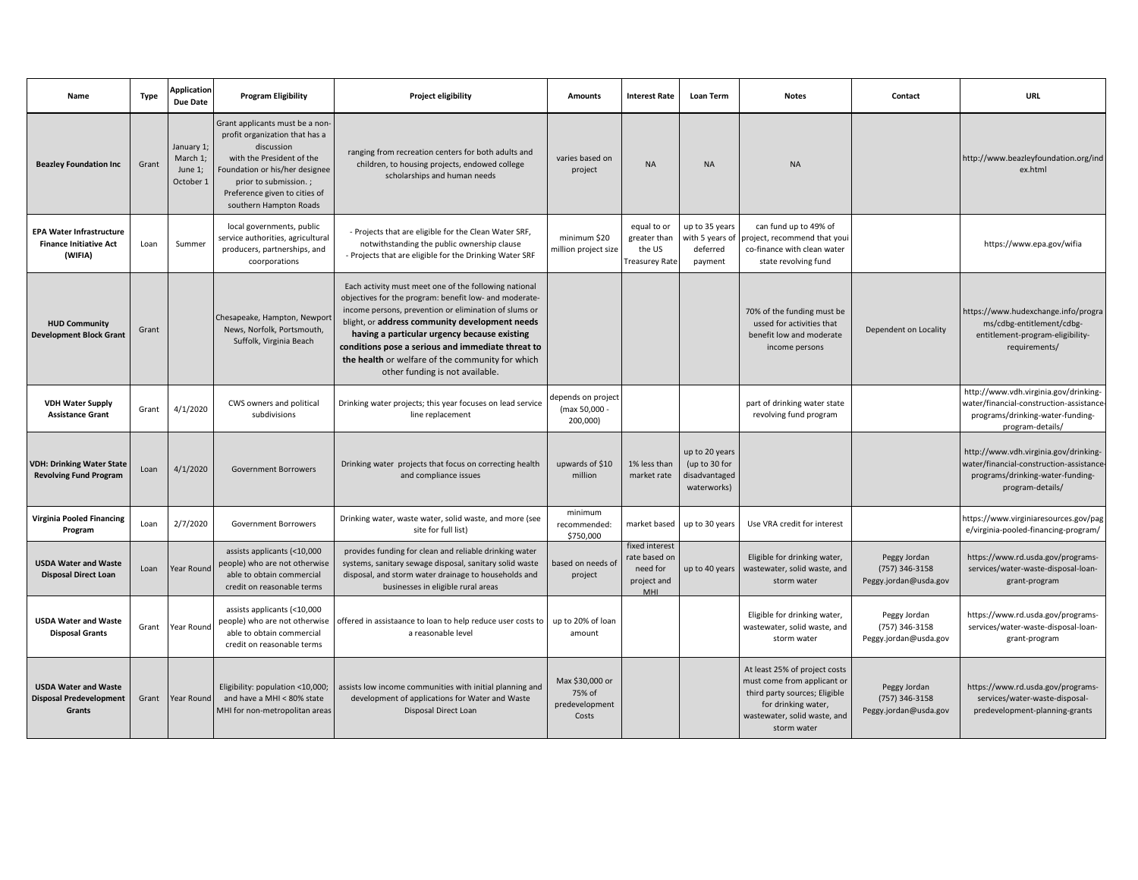| Name                                                                        | Type  | <b>Application</b><br><b>Due Date</b>          | <b>Program Eligibility</b>                                                                                                                                                                                                         | Project eligibility                                                                                                                                                                                                                                                                                                                                                                                                    | Amounts                                              | <b>Interest Rate</b>                                              | Loan Term                                                       | <b>Notes</b>                                                                                                                                                        | Contact                                                 | <b>URL</b>                                                                                                                                |
|-----------------------------------------------------------------------------|-------|------------------------------------------------|------------------------------------------------------------------------------------------------------------------------------------------------------------------------------------------------------------------------------------|------------------------------------------------------------------------------------------------------------------------------------------------------------------------------------------------------------------------------------------------------------------------------------------------------------------------------------------------------------------------------------------------------------------------|------------------------------------------------------|-------------------------------------------------------------------|-----------------------------------------------------------------|---------------------------------------------------------------------------------------------------------------------------------------------------------------------|---------------------------------------------------------|-------------------------------------------------------------------------------------------------------------------------------------------|
| <b>Beazley Foundation Inc</b>                                               | Grant | January 1;<br>March 1;<br>June 1;<br>October 1 | Grant applicants must be a non-<br>profit organization that has a<br>discussion<br>with the President of the<br>Foundation or his/her designee<br>prior to submission.;<br>Preference given to cities of<br>southern Hampton Roads | ranging from recreation centers for both adults and<br>children, to housing projects, endowed college<br>scholarships and human needs                                                                                                                                                                                                                                                                                  | varies based on<br>project                           | <b>NA</b>                                                         | <b>NA</b>                                                       | <b>NA</b>                                                                                                                                                           |                                                         | http://www.beazleyfoundation.org/ind<br>ex.html                                                                                           |
| <b>EPA Water Infrastructure</b><br><b>Finance Initiative Act</b><br>(WIFIA) | Loan  | Summer                                         | local governments, public<br>service authorities, agricultural<br>producers, partnerships, and<br>coorporations                                                                                                                    | - Projects that are eligible for the Clean Water SRF,<br>notwithstanding the public ownership clause<br>- Projects that are eligible for the Drinking Water SRF                                                                                                                                                                                                                                                        | minimum \$20<br>million project size                 | equal to or<br>greater than<br>the US<br><b>Treasurey Rate</b>    | up to 35 years<br>with 5 years of<br>deferred<br>payment        | can fund up to 49% of<br>roject, recommend that you<br>co-finance with clean water<br>state revolving fund                                                          |                                                         | https://www.epa.gov/wifia                                                                                                                 |
| <b>HUD Community</b><br><b>Development Block Grant</b>                      | Grant |                                                | Chesapeake, Hampton, Newport<br>News, Norfolk, Portsmouth,<br>Suffolk, Virginia Beach                                                                                                                                              | Each activity must meet one of the following national<br>objectives for the program: benefit low- and moderate-<br>income persons, prevention or elimination of slums or<br>blight, or address community development needs<br>having a particular urgency because existing<br>conditions pose a serious and immediate threat to<br>the health or welfare of the community for which<br>other funding is not available. |                                                      |                                                                   |                                                                 | 70% of the funding must be<br>ussed for activities that<br>benefit low and moderate<br>income persons                                                               | Dependent on Locality                                   | https://www.hudexchange.info/progra<br>ms/cdbg-entitlement/cdbg-<br>entitlement-program-eligibility-<br>requirements/                     |
| <b>VDH Water Supply</b><br><b>Assistance Grant</b>                          | Grant | 4/1/2020                                       | CWS owners and political<br>subdivisions                                                                                                                                                                                           | Drinking water projects; this year focuses on lead service<br>line replacement                                                                                                                                                                                                                                                                                                                                         | depends on project<br>(max 50,000 -<br>200,000)      |                                                                   |                                                                 | part of drinking water state<br>revolving fund program                                                                                                              |                                                         | http://www.vdh.virginia.gov/drinking-<br>water/financial-construction-assistance-<br>programs/drinking-water-funding-<br>program-details/ |
| <b>VDH: Drinking Water State</b><br><b>Revolving Fund Program</b>           | Loan  | 4/1/2020                                       | <b>Government Borrowers</b>                                                                                                                                                                                                        | Drinking water projects that focus on correcting health<br>and compliance issues                                                                                                                                                                                                                                                                                                                                       | upwards of \$10<br>million                           | 1% less than<br>market rate                                       | up to 20 years<br>(up to 30 for<br>disadvantaged<br>waterworks) |                                                                                                                                                                     |                                                         | http://www.vdh.virginia.gov/drinking-<br>water/financial-construction-assistance<br>programs/drinking-water-funding-<br>program-details/  |
| <b>Virginia Pooled Financing</b><br>Program                                 | Loan  | 2/7/2020                                       | <b>Government Borrowers</b>                                                                                                                                                                                                        | Drinking water, waste water, solid waste, and more (see<br>site for full list)                                                                                                                                                                                                                                                                                                                                         | minimum<br>recommended:<br>\$750,000                 | market based                                                      | up to 30 years                                                  | Use VRA credit for interest                                                                                                                                         |                                                         | https://www.virginiaresources.gov/pag<br>e/virginia-pooled-financing-program/                                                             |
| <b>USDA Water and Waste</b><br><b>Disposal Direct Loan</b>                  | Loan  | Year Round                                     | assists applicants (<10,000<br>people) who are not otherwise<br>able to obtain commercial<br>credit on reasonable terms                                                                                                            | provides funding for clean and reliable drinking water<br>systems, sanitary sewage disposal, sanitary solid waste<br>disposal, and storm water drainage to households and<br>businesses in eligible rural areas                                                                                                                                                                                                        | based on needs of<br>project                         | fixed interest<br>rate based on<br>need for<br>project and<br>MHI | up to 40 years                                                  | Eligible for drinking water,<br>wastewater, solid waste, and<br>storm water                                                                                         | Peggy Jordan<br>(757) 346-3158<br>Peggy.jordan@usda.gov | https://www.rd.usda.gov/programs-<br>services/water-waste-disposal-loan-<br>grant-program                                                 |
| <b>USDA Water and Waste</b><br><b>Disposal Grants</b>                       | Grant | Year Round                                     | assists applicants (<10,000<br>people) who are not otherwise<br>able to obtain commercial<br>credit on reasonable terms                                                                                                            | offered in assistaance to loan to help reduce user costs to<br>a reasonable level                                                                                                                                                                                                                                                                                                                                      | up to 20% of loan<br>amount                          |                                                                   |                                                                 | Eligible for drinking water,<br>wastewater, solid waste, and<br>storm water                                                                                         | Peggy Jordan<br>(757) 346-3158<br>Peggy.jordan@usda.gov | https://www.rd.usda.gov/programs-<br>services/water-waste-disposal-loan-<br>grant-program                                                 |
| <b>USDA Water and Waste</b><br><b>Disposal Predevelopment</b><br>Grants     | Grant | Year Round                                     | Eligibility: population <10,000;<br>and have a MHI < 80% state<br>MHI for non-metropolitan areas                                                                                                                                   | assists low income communities with initial planning and<br>development of applications for Water and Waste<br>Disposal Direct Loan                                                                                                                                                                                                                                                                                    | Max \$30,000 or<br>75% of<br>predevelopment<br>Costs |                                                                   |                                                                 | At least 25% of project costs<br>must come from applicant or<br>third party sources; Eligible<br>for drinking water,<br>wastewater, solid waste, and<br>storm water | Peggy Jordan<br>(757) 346-3158<br>Peggy.jordan@usda.gov | https://www.rd.usda.gov/programs-<br>services/water-waste-disposal-<br>predevelopment-planning-grants                                     |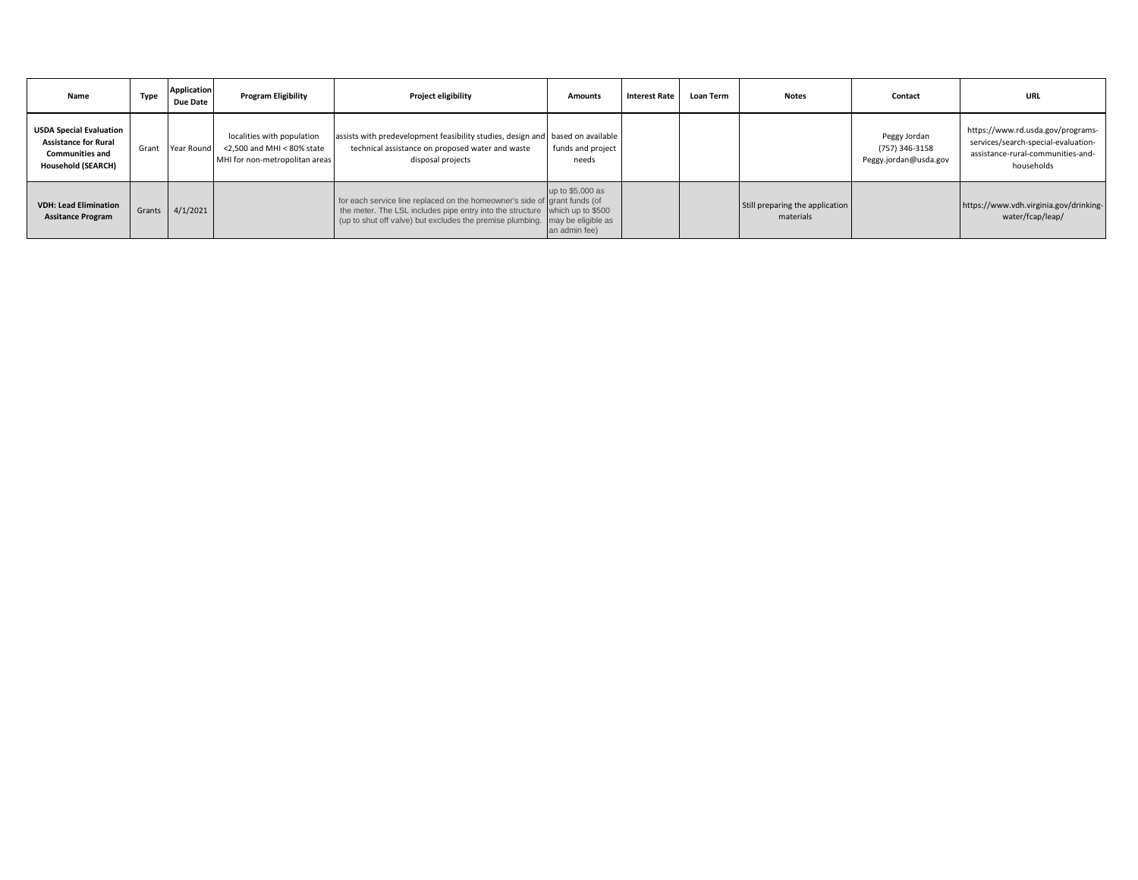| Name                                                                                                                 | Type   | <b>Application</b><br>Due Date | <b>Program Eligibility</b>                                                                      | Project eligibility                                                                                                                                                                                                                      | <b>Amounts</b>                    | <b>Interest Rate</b> | <b>Loan Term</b> | <b>Notes</b>                                 | Contact                                                 | URL                                                                                                                         |
|----------------------------------------------------------------------------------------------------------------------|--------|--------------------------------|-------------------------------------------------------------------------------------------------|------------------------------------------------------------------------------------------------------------------------------------------------------------------------------------------------------------------------------------------|-----------------------------------|----------------------|------------------|----------------------------------------------|---------------------------------------------------------|-----------------------------------------------------------------------------------------------------------------------------|
| <b>USDA Special Evaluation</b><br><b>Assistance for Rural</b><br><b>Communities and</b><br><b>Household (SEARCH)</b> | Grant  | Year Round                     | localities with population<br>$<$ 2.500 and MHI $<$ 80% state<br>MHI for non-metropolitan areas | assists with predevelopment feasibility studies, design and based on available<br>technical assistance on proposed water and waste<br>disposal projects                                                                                  | funds and project<br>needs        |                      |                  |                                              | Peggy Jordan<br>(757) 346-3158<br>Peggy.jordan@usda.gov | https://www.rd.usda.gov/programs-<br>services/search-special-evaluation-<br>assistance-rural-communities-and-<br>households |
| <b>VDH: Lead Elimination</b><br><b>Assitance Program</b>                                                             | Grants | 4/1/2021                       |                                                                                                 | for each service line replaced on the homeowner's side of grant funds (of<br>the meter. The LSL includes pipe entry into the structure which up to \$500<br>(up to shut off valve) but excludes the premise plumbing. may be eligible as | up to \$5,000 as<br>an admin fee) |                      |                  | Still preparing the application<br>materials |                                                         | https://www.vdh.virginia.gov/drinking-<br>water/fcap/leap/                                                                  |